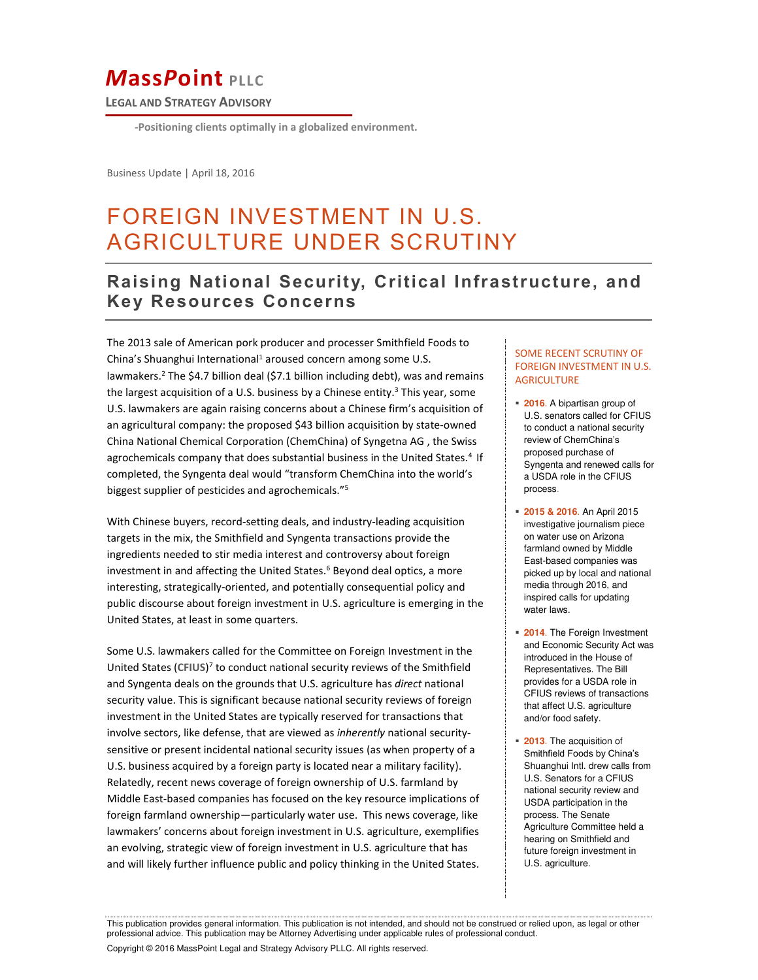# *M***ass***P***oint PLLC**

**LEGAL AND STRATEGY ADVISORY**

**-Positioning clients optimally in a globalized environment.** 

Business Update | April 18, 2016

### FOREIGN INVESTMENT IN U.S.  $\ddot{\ }$ AGRICULTURE UNDER SCRUTINY

## **Raising National Security, Critical Infrastructure, and Key Resources Concerns**

The 2013 sale of American pork producer and processer Smithfield Foods to China's Shuanghui International<sup>1</sup> aroused concern among some U.S. lawmakers.<sup>2</sup> The \$4.7 billion deal (\$7.1 billion including debt), was and remains the largest acquisition of a U.S. business by a Chinese entity.<sup>3</sup> This year, some U.S. lawmakers are again raising concerns about a Chinese firm's acquisition of an agricultural company: the proposed \$43 billion acquisition by state-owned China National Chemical Corporation (ChemChina) of Syngetna AG , the Swiss agrochemicals company that does substantial business in the United States.<sup>4</sup> If completed, the Syngenta deal would "transform ChemChina into the world's biggest supplier of pesticides and agrochemicals."<sup>5</sup>

With Chinese buyers, record-setting deals, and industry-leading acquisition targets in the mix, the Smithfield and Syngenta transactions provide the ingredients needed to stir media interest and controversy about foreign investment in and affecting the United States.<sup>6</sup> Beyond deal optics, a more interesting, strategically-oriented, and potentially consequential policy and public discourse about foreign investment in U.S. agriculture is emerging in the United States, at least in some quarters.

Some U.S. lawmakers called for the Committee on Foreign Investment in the United States (**CFIUS**) 7 to conduct national security reviews of the Smithfield and Syngenta deals on the grounds that U.S. agriculture has *direct* national security value. This is significant because national security reviews of foreign investment in the United States are typically reserved for transactions that involve sectors, like defense, that are viewed as *inherently* national securitysensitive or present incidental national security issues (as when property of a U.S. business acquired by a foreign party is located near a military facility). Relatedly, recent news coverage of foreign ownership of U.S. farmland by Middle East-based companies has focused on the key resource implications of foreign farmland ownership—particularly water use. This news coverage, like lawmakers' concerns about foreign investment in U.S. agriculture, exemplifies an evolving, strategic view of foreign investment in U.S. agriculture that has and will likely further influence public and policy thinking in the United States.

#### SOME RECENT SCRUTINY OF FOREIGN INVESTMENT IN U.S. **AGRICULTURE**

- **2016**. A bipartisan group of U.S. senators called for CFIUS to conduct a national security review of ChemChina's proposed purchase of Syngenta and renewed calls for a USDA role in the CFIUS process.
- **2015 & 2016**. An April 2015 investigative journalism piece on water use on Arizona farmland owned by Middle East-based companies was picked up by local and national media through 2016, and inspired calls for updating water laws.
- **2014**. The Foreign Investment and Economic Security Act was introduced in the House of Representatives. The Bill provides for a USDA role in CFIUS reviews of transactions that affect U.S. agriculture and/or food safety.
- **2013**. The acquisition of Smithfield Foods by China's Shuanghui Intl. drew calls from U.S. Senators for a CFIUS national security review and USDA participation in the process. The Senate Agriculture Committee held a hearing on Smithfield and future foreign investment in U.S. agriculture.

This publication provides general information. This publication is not intended, and should not be construed or relied upon, as legal or other professional advice. This publication may be Attorney Advertising under applicable rules of professional conduct.

Copyright © 2016 MassPoint Legal and Strategy Advisory PLLC. All rights reserved.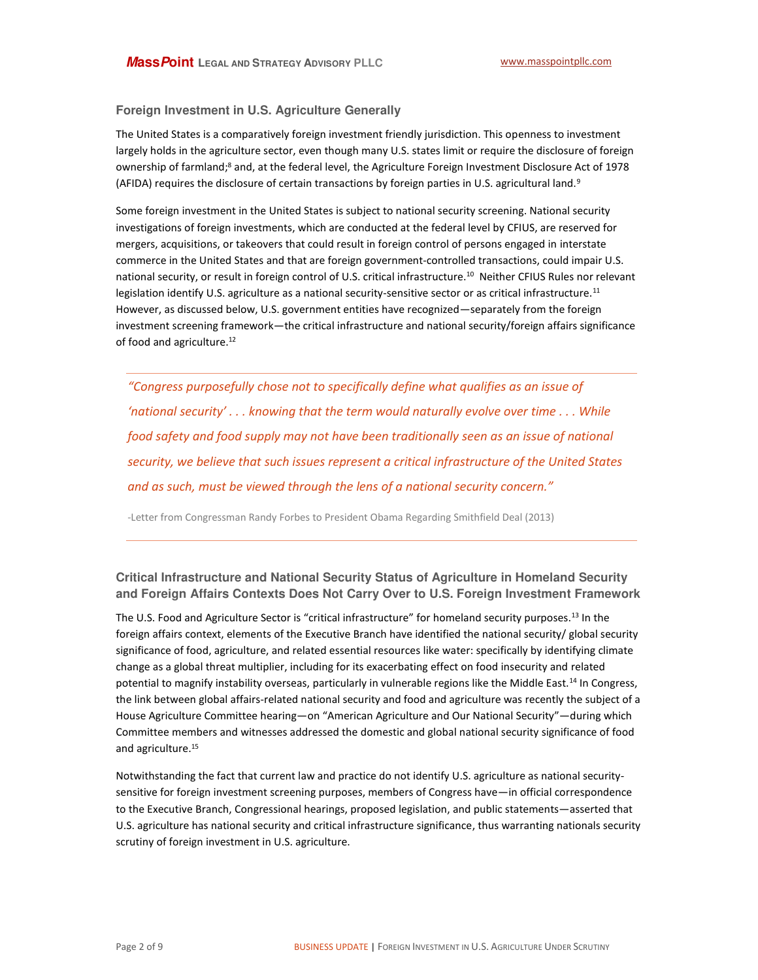#### **Foreign Investment in U.S. Agriculture Generally**

ownership of farmland;<sup>8</sup> and, at the federal level, the Agriculture Foreign Investment Disclosure Act of 1978 (AFIDA) requires the disclosure of certain transactions by foreign parties in U.S. agricultural land.<sup>9</sup> The United States is a comparatively foreign investment friendly jurisdiction. This openness to investment largely holds in the agriculture sector, even though many U.S. states limit or require the disclosure of foreign

Some foreign investment in the United States is subject to national security screening. National security investigations of foreign investments, which are conducted at the federal level by CFIUS, are reserved for mergers, acquisitions, or takeovers that could result in foreign control of persons engaged in interstate commerce in the United States and that are foreign government-controlled transactions, could impair U.S. national security, or result in foreign control of U.S. critical infrastructure.<sup>10</sup> Neither CFIUS Rules nor relevant legislation identify U.S. agriculture as a national security-sensitive sector or as critical infrastructure.<sup>11</sup> However, as discussed below, U.S. government entities have recognized—separately from the foreign investment screening framework—the critical infrastructure and national security/foreign affairs significance of food and agriculture.<sup>12</sup>

*͞Congress purposefully chose not to specifically define what qualifies as an issue of <u>fational security'... knowing that the term would naturally evolve over time ... While*  $\overline{a}$ </u> *food safety and food supply may not have been traditionally seen as an issue of national security, we believe that such issues represent a critical infrastructure of the United States and as such, must be viewed through the lens of a national security concern.*<sup>*n*</sup>

-Letter from Congressman Randy Forbes to President Obama Regarding Smithfield Deal (2013)

**Critical Infrastructure and National Security Status of Agriculture in Homeland Security and Foreign Affairs Contexts Does Not Carry Over to U.S. Foreign Investment Framework** 

The U.S. Food and Agriculture Sector is "critical infrastructure" for homeland security purposes.<sup>13</sup> In the foreign affairs context, elements of the Executive Branch have identified the national security/ global security significance of food, agriculture, and related essential resources like water: specifically by identifying climate change as a global threat multiplier, including for its exacerbating effect on food insecurity and related potential to magnify instability overseas, particularly in vulnerable regions like the Middle East.<sup>14</sup> In Congress, the link between global affairs-related national security and food and agriculture was recently the subject of a House Agriculture Committee hearing—on "American Agriculture and Our National Security"—during which Committee members and witnesses addressed the domestic and global national security significance of food and agriculture.<sup>15</sup>

Notwithstanding the fact that current law and practice do not identify U.S. agriculture as national securitysensitive for foreign investment screening purposes, members of Congress have—in official correspondence to the Executive Branch, Congressional hearings, proposed legislation, and public statements—asserted that U.S. agriculture has national security and critical infrastructure significance, thus warranting nationals security scrutiny of foreign investment in U.S. agriculture.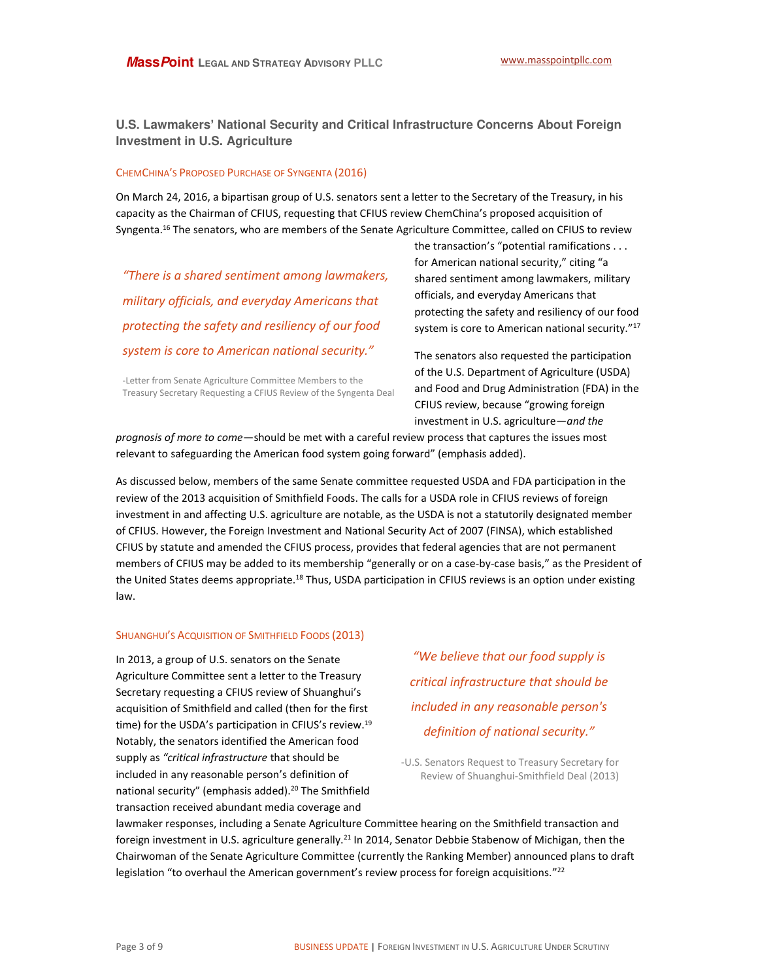**U.S. Lawmakers' National Security and Critical Infrastructure Concerns About Foreign Investment in U.S. Agriculture** 

#### CHEMCHINA͛S PROPOSED PURCHASE OF SYNGENTA (2016)

On March 24, 2016, a bipartisan group of U.S. senators sent a letter to the Secretary of the Treasury, in his capacity as the Chairman of CFIUS, requesting that CFIUS review ChemChina's proposed acquisition of Syngenta.<sup>16</sup> The senators, who are members of the Senate Agriculture Committee, called on CFIUS to review

*͞There is a shared seŶtiŵeŶt aŵoŶg laǁŵakers, military officials, and everyday Americans that protecting the safety and resiliency of our food system is core to American national security.* 

the transaction's "potential ramifications . . . for American national security," citing "a shared sentiment among lawmakers, military officials, and everyday Americans that protecting the safety and resiliency of our food system is core to American national security.<sup>"17</sup>

-Letter from Senate Agriculture Committee Members to the Treasury Secretary Requesting a CFIUS Review of the Syngenta Deal The senators also requested the participation of the U.S. Department of Agriculture (USDA) and Food and Drug Administration (FDA) in the CFIUS review, because "growing foreign investment in U.S. agriculture—*and the* 

*prognosis of more to come*—should be met with a careful review process that captures the issues most relevant to safeguarding the American food system going forward" (emphasis added).

As discussed below, members of the same Senate committee requested USDA and FDA participation in the review of the 2013 acquisition of Smithfield Foods. The calls for a USDA role in CFIUS reviews of foreign investment in and affecting U.S. agriculture are notable, as the USDA is not a statutorily designated member of CFIUS. However, the Foreign Investment and National Security Act of 2007 (FINSA), which established CFIUS by statute and amended the CFIUS process, provides that federal agencies that are not permanent members of CFIUS may be added to its membership "generally or on a case-by-case basis," as the President of the United States deems appropriate.<sup>18</sup> Thus, USDA participation in CFIUS reviews is an option under existing law.

#### SHUANGHUI'S ACQUISITION OF SMITHFIELD FOODS (2013)

In 2013, a group of U.S. senators on the Senate Agriculture Committee sent a letter to the Treasury Secretary requesting a CFIUS review of Shuanghui's acquisition of Smithfield and called (then for the first time) for the USDA's participation in CFIUS's review.<sup>19</sup> Notably, the senators identified the American food supply as *͞critical infrastructure* that should be included in any reasonable person's definition of national security" (emphasis added).<sup>20</sup> The Smithfield transaction received abundant media coverage and

*͞We ďelieǀe that our food supply is critical infrastructure that should be included in any reasonable person's definition of national security.* 

-U.S. Senators Request to Treasury Secretary for Review of Shuanghui-Smithfield Deal (2013)

lawmaker responses, including a Senate Agriculture Committee hearing on the Smithfield transaction and foreign investment in U.S. agriculture generally.<sup>21</sup> In 2014, Senator Debbie Stabenow of Michigan, then the Chairwoman of the Senate Agriculture Committee (currently the Ranking Member) announced plans to draft legislation "to overhaul the American government's review process for foreign acquisitions.<sup>"22</sup>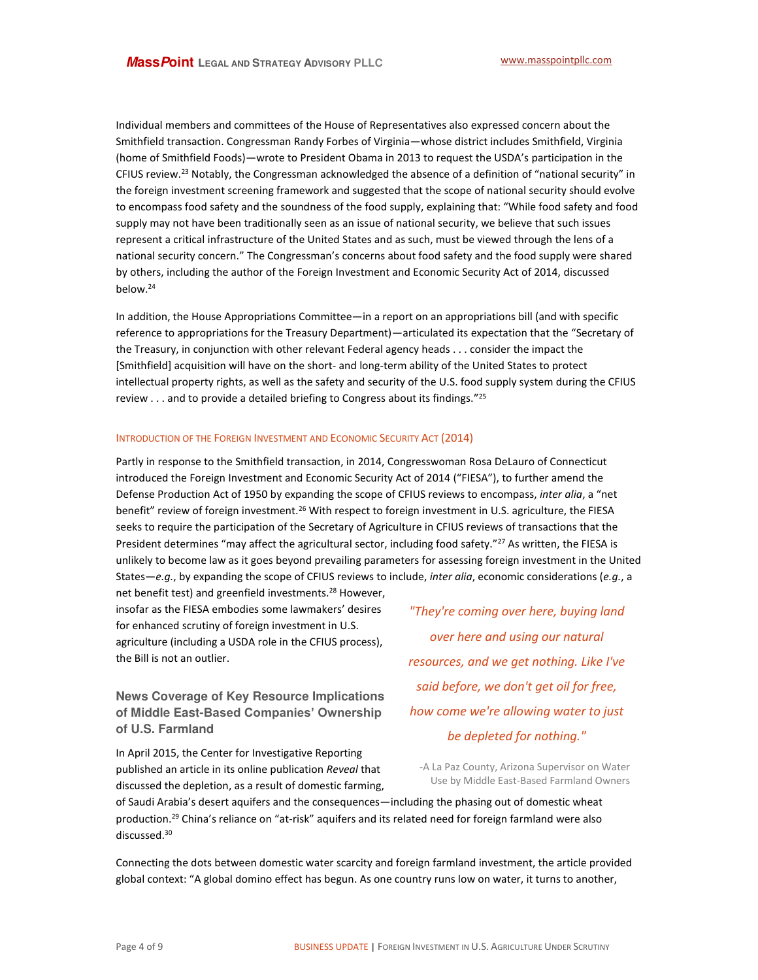(home of Smithfield Foods)—wrote to President Obama in 2013 to request the USDA's participation in the CFIUS review.<sup>23</sup> Notably, the Congressman acknowledged the absence of a definition of "national security" in the foreign investment screening framework and suggested that the scope of national security should evolve Individual members and committees of the House of Representatives also expressed concern about the Smithfield transaction. Congressman Randy Forbes of Virginia—whose district includes Smithfield, Virginia to encompass food safety and the soundness of the food supply, explaining that: "While food safety and food supply may not have been traditionally seen as an issue of national security, we believe that such issues represent a critical infrastructure of the United States and as such, must be viewed through the lens of a national security concern." The Congressman's concerns about food safety and the food supply were shared by others, including the author of the Foreign Investment and Economic Security Act of 2014, discussed below.<sup>24</sup>

In addition, the House Appropriations Committee—in a report on an appropriations bill (and with specific reference to appropriations for the Treasury Department)—articulated its expectation that the "Secretary of the Treasury, in conjunction with other relevant Federal agency heads . . . consider the impact the [Smithfield] acquisition will have on the short- and long-term ability of the United States to protect intellectual property rights, as well as the safety and security of the U.S. food supply system during the CFIUS review . . . and to provide a detailed briefing to Congress about its findings."<sup>25</sup>

#### INTRODUCTION OF THE FOREIGN INVESTMENT AND ECONOMIC SECURITY ACT (2014)

Partly in response to the Smithfield transaction, in 2014, Congresswoman Rosa DeLauro of Connecticut introduced the Foreign Investment and Economic Security Act of 2014 ("FIESA"), to further amend the Defense Production Act of 1950 by expanding the scope of CFIUS reviews to encompass, *inter alia*, a "net benefit" review of foreign investment.<sup>26</sup> With respect to foreign investment in U.S. agriculture, the FIESA seeks to require the participation of the Secretary of Agriculture in CFIUS reviews of transactions that the President determines "may affect the agricultural sector, including food safety."<sup>27</sup> As written, the FIESA is unlikely to become law as it goes beyond prevailing parameters for assessing foreign investment in the United States—*e.g.*, by expanding the scope of CFIUS reviews to include, *inter alia*, economic considerations (*e.g.*, a

net benefit test) and greenfield investments.<sup>28</sup> However, insofar as the FIESA embodies some lawmakers' desires for enhanced scrutiny of foreign investment in U.S. agriculture (including a USDA role in the CFIUS process), the Bill is not an outlier.

**News Coverage of Key Resource Implications of Middle East-Based Companies' Ownership of U.S. Farmland** 

In April 2015, the Center for Investigative Reporting published an article in its online publication *Reveal* that discussed the depletion, as a result of domestic farming,

*"They're coming over here, buying land over here and using our natural resources, and we get nothing. Like I've said before, we don't get oil for free, how come we're allowing water to just be depleted for nothing."*

-A La Paz County, Arizona Supervisor on Water Use by Middle East-Based Farmland Owners

of Saudi Arabia's desert aquifers and the consequences—including the phasing out of domestic wheat production.<sup>29</sup> China's reliance on "at-risk" aquifers and its related need for foreign farmland were also discussed.<sup>30</sup>

Connecting the dots between domestic water scarcity and foreign farmland investment, the article provided global context: "A global domino effect has begun. As one country runs low on water, it turns to another,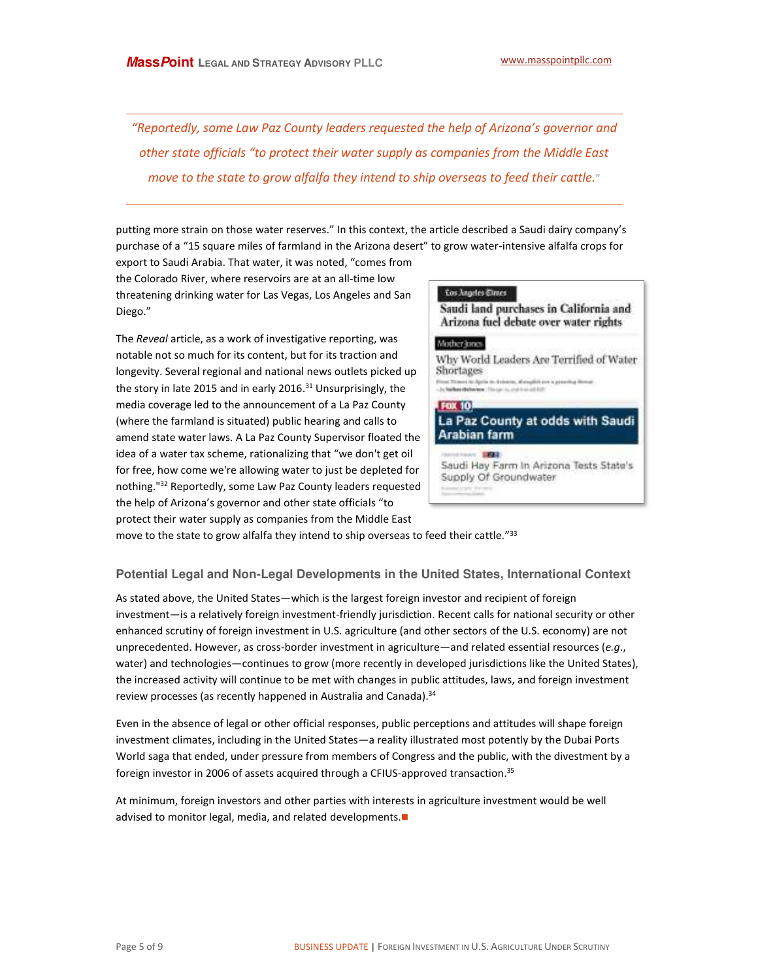Telephone move to the state to grow alfalfa they intend to ship overseas to feed their cattle.<sup></sup>" *<sup><i>K</sup>Reportedly, some Law Paz County leaders requested the help of Arizona's governor and*</sup> *other state officials "to protect their water supply as companies from the Middle East* 

 $\overline{a}$ 

putting more strain on those water reserves.<sup>*"*</sup> In this context, the article described a Saudi dairy company's purchase of a "15 square miles of farmland in the Arizona desert" to grow water-intensive alfalfa crops for

export to Saudi Arabia. That water, it was noted, "comes from the Colorado River, where reservoirs are at an all-time low threatening drinking water for Las Vegas, Los Angeles and San Diego."

The *Reveal* article, as a work of investigative reporting, was notable not so much for its content, but for its traction and longevity. Several regional and national news outlets picked up the story in late 2015 and in early 2016.<sup>31</sup> Unsurprisingly, the media coverage led to the announcement of a La Paz County (where the farmland is situated) public hearing and calls to amend state water laws. A La Paz County Supervisor floated the idea of a water tax scheme, rationalizing that "we don't get oil for free, how come we're allowing water to just be depleted for nothing."<sup>32</sup> Reportedly, some Law Paz County leaders requested the help of Arizona's governor and other state officials "to protect their water supply as companies from the Middle East



move to the state to grow alfalfa they intend to ship overseas to feed their cattle."<sup>33</sup>

#### **Potential Legal and Non-Legal Developments in the United States, International Context**

As stated above, the United States—which is the largest foreign investor and recipient of foreign investment—is a relatively foreign investment-friendly jurisdiction. Recent calls for national security or other enhanced scrutiny of foreign investment in U.S. agriculture (and other sectors of the U.S. economy) are not unprecedented. However, as cross-border investment in agriculture—and related essential resources (*e.g*., water) and technologies—continues to grow (more recently in developed jurisdictions like the United States), the increased activity will continue to be met with changes in public attitudes, laws, and foreign investment review processes (as recently happened in Australia and Canada).<sup>34</sup>

Even in the absence of legal or other official responses, public perceptions and attitudes will shape foreign investment climates, including in the United States—a reality illustrated most potently by the Dubai Ports World saga that ended, under pressure from members of Congress and the public, with the divestment by a foreign investor in 2006 of assets acquired through a CFIUS-approved transaction.<sup>35</sup>

At minimum, foreign investors and other parties with interests in agriculture investment would be well advised to monitor legal, media, and related developments.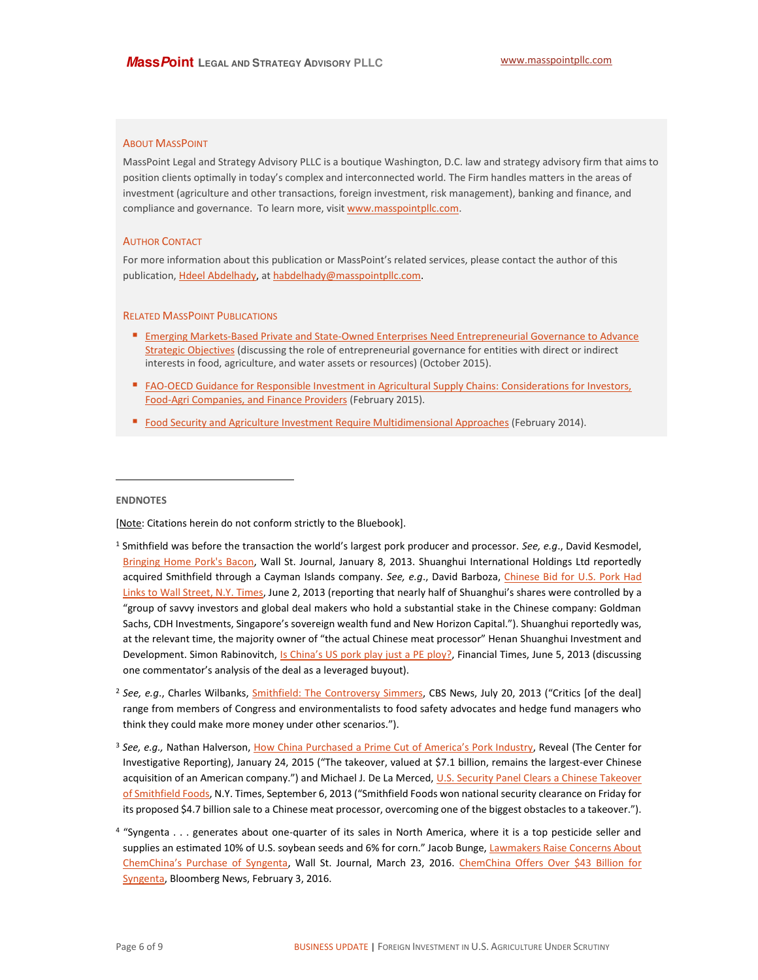#### **ABOUT MASSPOINT**

MassPoint Legal and Strategy Advisory PLLC is a boutique Washington, D.C. law and strategy advisory firm that aims to position clients optimally in today's complex and interconnected world. The Firm handles matters in the areas of investment (agriculture and other transactions, foreign investment, risk management), banking and finance, and compliance and governance. To learn more, visit www.masspointpllc.com.

#### **AUTHOR CONTACT**

For more information about this publication or MassPoint's related services, please contact the author of this publication, Hdeel Abdelhady, at habdelhady@masspointpllc.com.

#### **RELATED MASSPOINT PUBLICATIONS**

- Emerging Markets-Based Private and State-Owned Enterprises Need Entrepreneurial Governance to Advance Strategic Objectives (discussing the role of entrepreneurial governance for entities with direct or indirect interests in food, agriculture, and water assets or resources) (October 2015).
- FAO-OECD Guidance for Responsible Investment in Agricultural Supply Chains: Considerations for Investors, Food-Agri Companies, and Finance Providers (February 2015).
- Food Security and Agriculture Investment Require Multidimensional Approaches (February 2014).

#### **ENDNOTES**

[Note: Citations herein do not conform strictly to the Bluebook].

- <sup>1</sup> Smithfield was before the transaction the world's largest pork producer and processor. See, e.g., David Kesmodel, Bringing Home Pork's Bacon, Wall St. Journal, January 8, 2013. Shuanghui International Holdings Ltd reportedly acquired Smithfield through a Cayman Islands company. See, e.g., David Barboza, Chinese Bid for U.S. Pork Had Links to Wall Street, N.Y. Times, June 2, 2013 (reporting that nearly half of Shuanghui's shares were controlled by a "group of savvy investors and global deal makers who hold a substantial stake in the Chinese company: Goldman Sachs, CDH Investments, Singapore's sovereign wealth fund and New Horizon Capital."). Shuanghui reportedly was, at the relevant time, the majority owner of "the actual Chinese meat processor" Henan Shuanghui Investment and Development. Simon Rabinovitch, Is China's US pork play just a PE ploy?, Financial Times, June 5, 2013 (discussing one commentator's analysis of the deal as a leveraged buyout).
- <sup>2</sup> See, e.g., Charles Wilbanks, Smithfield: The Controversy Simmers, CBS News, July 20, 2013 ("Critics [of the deal] range from members of Congress and environmentalists to food safety advocates and hedge fund managers who think they could make more money under other scenarios.").
- <sup>3</sup> See, e.g., Nathan Halverson, How China Purchased a Prime Cut of America's Pork Industry, Reveal (The Center for Investigative Reporting), January 24, 2015 ("The takeover, valued at \$7.1 billion, remains the largest-ever Chinese acquisition of an American company.") and Michael J. De La Merced, U.S. Security Panel Clears a Chinese Takeover of Smithfield Foods, N.Y. Times, September 6, 2013 ("Smithfield Foods won national security clearance on Friday for its proposed \$4.7 billion sale to a Chinese meat processor, overcoming one of the biggest obstacles to a takeover.").
- <sup>4</sup> "Syngenta . . . generates about one-quarter of its sales in North America, where it is a top pesticide seller and supplies an estimated 10% of U.S. soybean seeds and 6% for corn." Jacob Bunge, Lawmakers Raise Concerns About ChemChina's Purchase of Syngenta, Wall St. Journal, March 23, 2016. ChemChina Offers Over \$43 Billion for Syngenta, Bloomberg News, February 3, 2016.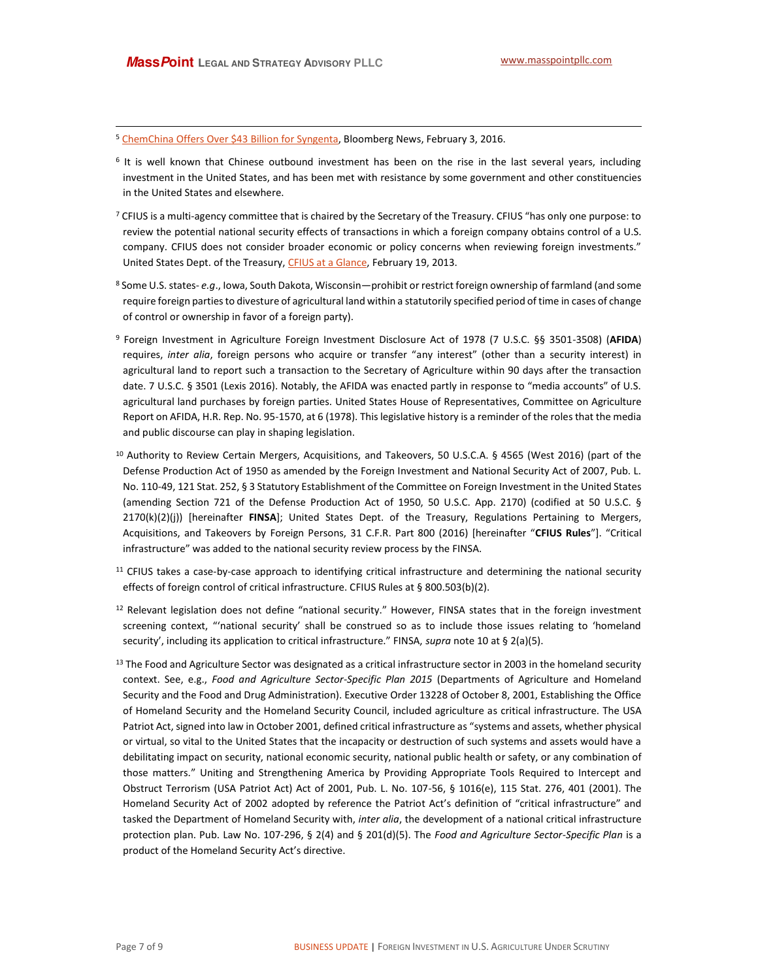<sup>5</sup> ChemChina Offers Over \$43 Billion for Syngenta, Bloomberg News, February 3, 2016.

- <sup>6</sup> It is well known that Chinese outbound investment has been on the rise in the last several years, including investment in the United States, and has been met with resistance by some government and other constituencies in the United States and elsewhere.
- 7 CFIUS is a multi-agency committee that is chaired by the Secretary of the Treasury. CFIUS "has only one purpose: to review the potential national security effects of transactions in which a foreign company obtains control of a U.S. company. CFIUS does not consider broader economic or policy concerns when reviewing foreign investments." United States Dept. of the Treasury, CFIUS at a Glance, February 19, 2013.
- <sup>8</sup> Some U.S. states- e.g., Iowa, South Dakota, Wisconsin—prohibit or restrict foreign ownership of farmland (and some require foreign parties to divesture of agricultural land within a statutorily specified period of time in cases of change of control or ownership in favor of a foreign party).
- <sup>9</sup> Foreign Investment in Agriculture Foreign Investment Disclosure Act of 1978 (7 U.S.C. §§ 3501-3508) (AFIDA) requires, inter alia, foreign persons who acquire or transfer "any interest" (other than a security interest) in agricultural land to report such a transaction to the Secretary of Agriculture within 90 days after the transaction date. 7 U.S.C. § 3501 (Lexis 2016). Notably, the AFIDA was enacted partly in response to "media accounts" of U.S. agricultural land purchases by foreign parties. United States House of Representatives, Committee on Agriculture Report on AFIDA, H.R. Rep. No. 95-1570, at 6 (1978). This legislative history is a reminder of the roles that the media and public discourse can play in shaping legislation.
- <sup>10</sup> Authority to Review Certain Mergers, Acquisitions, and Takeovers, 50 U.S.C.A. § 4565 (West 2016) (part of the Defense Production Act of 1950 as amended by the Foreign Investment and National Security Act of 2007, Pub. L. No. 110-49, 121 Stat. 252, § 3 Statutory Establishment of the Committee on Foreign Investment in the United States (amending Section 721 of the Defense Production Act of 1950, 50 U.S.C. App. 2170) (codified at 50 U.S.C. § 2170(k)(2)(j)) [hereinafter FINSA]; United States Dept. of the Treasury, Regulations Pertaining to Mergers, Acquisitions, and Takeovers by Foreign Persons, 31 C.F.R. Part 800 (2016) [hereinafter "CFIUS Rules"]. "Critical infrastructure" was added to the national security review process by the FINSA.
- <sup>11</sup> CFIUS takes a case-by-case approach to identifying critical infrastructure and determining the national security effects of foreign control of critical infrastructure. CFIUS Rules at § 800.503(b)(2).
- <sup>12</sup> Relevant legislation does not define "national security." However, FINSA states that in the foreign investment screening context, "'national security' shall be construed so as to include those issues relating to 'homeland security', including its application to critical infrastructure." FINSA, supra note 10 at § 2(a)(5).
- <sup>13</sup> The Food and Agriculture Sector was designated as a critical infrastructure sector in 2003 in the homeland security context. See, e.g., Food and Agriculture Sector-Specific Plan 2015 (Departments of Agriculture and Homeland Security and the Food and Drug Administration). Executive Order 13228 of October 8, 2001, Establishing the Office of Homeland Security and the Homeland Security Council, included agriculture as critical infrastructure. The USA Patriot Act, signed into law in October 2001, defined critical infrastructure as "systems and assets, whether physical or virtual, so vital to the United States that the incapacity or destruction of such systems and assets would have a debilitating impact on security, national economic security, national public health or safety, or any combination of those matters." Uniting and Strengthening America by Providing Appropriate Tools Required to Intercept and Obstruct Terrorism (USA Patriot Act) Act of 2001, Pub. L. No. 107-56, § 1016(e), 115 Stat. 276, 401 (2001). The Homeland Security Act of 2002 adopted by reference the Patriot Act's definition of "critical infrastructure" and tasked the Department of Homeland Security with, inter alia, the development of a national critical infrastructure protection plan. Pub. Law No. 107-296, § 2(4) and § 201(d)(5). The Food and Agriculture Sector-Specific Plan is a product of the Homeland Security Act's directive.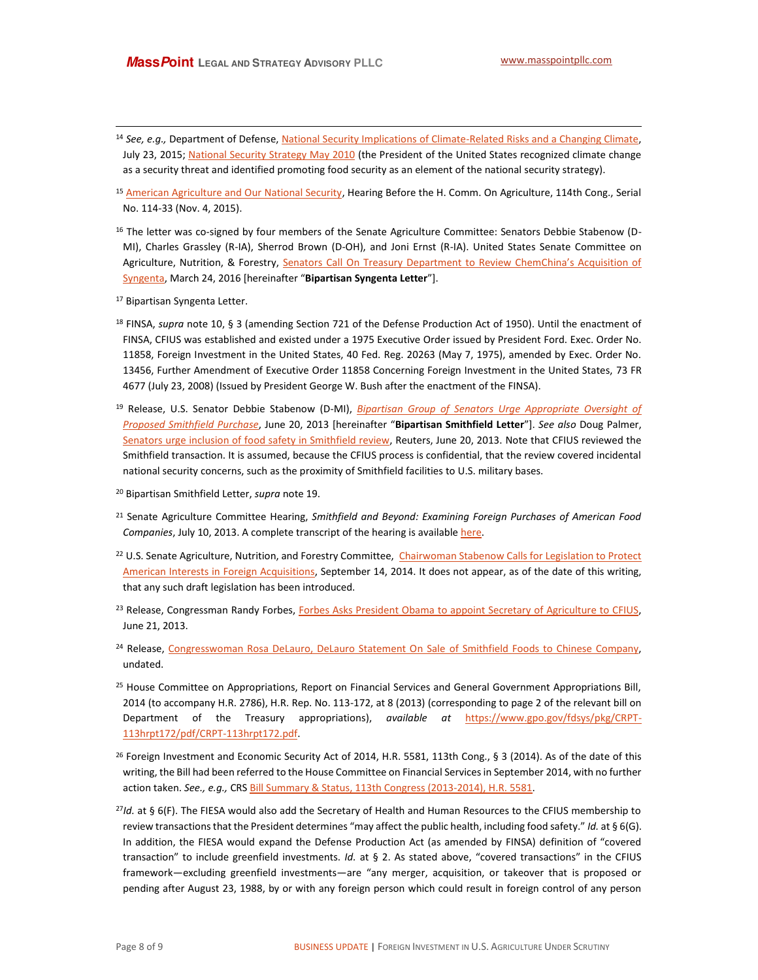- Telephone of the second telecometers of the second telecometers of the second telecometers of the second telec<br>The second telecometers of the second telecometers of the second telecometers of the second telecometers of th as a security threat and identified promoting food security as an element of the national security strategy).<br> <sup>14</sup> *See, e.g.,* Department of Defense[, National Security Implications of Climate-Related Risks and a Changing Climate,](http://archive.defense.gov/pubs/150724-congressional-report-on-national-implications-of-climate-change.pdf?source=govdelivery) July 23, 2015; [National Security Strategy May 2010](https://www.whitehouse.gov/sites/default/files/rss_viewer/national_security_strategy.pdf) (the President of the United States recognized climate change
- <sup>15</sup> [American Agriculture and Our National Security,](http://agriculture.house.gov/uploadedfiles/11.4.15_hearing_transcript.pdf) Hearing Before the H. Comm. On Agriculture, 114th Cong., Serial No. 114-33 (Nov. 4, 2015).
- <sup>16</sup> The letter was co-signed by four members of the Senate Agriculture Committee: Senators Debbie Stabenow (D-MI), Charles Grassley (R-IA), Sherrod Brown (D-OH), and Joni Ernst (R-IA). United States Senate Committee on Agriculture, Nutrition, & Forestry, Senators Call On Treasury Department to Review ChemChina's Acquisition of [Syngenta,](http://www.agriculture.senate.gov/newsroom/dem/press/release/senators-call-on-treasury-department-to-review-chemchinas-acquisition-of-syngenta-) March 24, 2016 [hereinafter "Bipartisan Syngenta Letter"].
- <sup>17</sup> Bipartisan Syngenta Letter.

1

- <sup>18</sup> FINSA, *supra* note 10, § 3 (amending Section 721 of the Defense Production Act of 1950). Until the enactment of FINSA, CFIUS was established and existed under a 1975 Executive Order issued by President Ford. Exec. Order No. 11858, Foreign Investment in the United States, 40 Fed. Reg. 20263 (May 7, 1975), amended by Exec. Order No. 13456, Further Amendment of Executive Order 11858 Concerning Foreign Investment in the United States, 73 FR 4677 (July 23, 2008) (Issued by President George W. Bush after the enactment of the FINSA).
- <sup>19</sup> Release, U.S. Senator Debbie Stabenow (D-MI), *[Bipartisan Group of Senators Urge Appropriate Oversight of](http://www.stabenow.senate.gov/news/bipartisan-group-of-senators-urge-appropriate-oversight-of-proposed-smithfield-purchase)  [Proposed Smithfield Purchase](http://www.stabenow.senate.gov/news/bipartisan-group-of-senators-urge-appropriate-oversight-of-proposed-smithfield-purchase)*, June 20, 2013 [hereinafter "Bipartisan Smithfield Letter"]. *See also* Doug Palmer, [Senators urge inclusion of food safety in Smithfield review,](http://www.reuters.com/article/2013/06/21/us-smithfield-shuanghui-senators-idUSBRE95J0O220130621) Reuters, June 20, 2013. Note that CFIUS reviewed the Smithfield transaction. It is assumed, because the CFIUS process is confidential, that the review covered incidental national security concerns, such as the proximity of Smithfield facilities to U.S. military bases.
- <sup>20</sup> Bipartisan Smithfield Letter, *supra* note 19.
- <sup>21</sup> Senate Agriculture Committee Hearing, *Smithfield and Beyond: Examining Foreign Purchases of American Food Companies*, July 10, 2013. A complete transcript of the hearing is availabl[e here.](http://www.agriculture.senate.gov/imo/media/doc/2013%207%2010%20Smithfield%20and%20Beyond%20Examining%20Foreign%20Purchases%20of%20American%20Food%20Companies1.pdf)
- <sup>22</sup> U.S. Senate Agriculture, Nutrition, and Forestry Committee, Chairwoman Stabenow Calls for Legislation to Protect [American Interests in Foreign Acquisitions,](http://www.ag.senate.gov/newsroom/press/release/chairwoman-stabenow-calls-for-legislation-to-protect-american-interests-in-foreign-acquisitions) September 14, 2014. It does not appear, as of the date of this writing, that any such draft legislation has been introduced.
- <sup>23</sup> Release, Congressman Randy Forbes, [Forbes Asks President Obama to appoint Secretary of Agriculture to CFIUS,](http://forbes.house.gov/updates/documentsingle.aspx?DocumentID=340005) June 21, 2013.
- <sup>24</sup> Release, [Congresswoman Rosa DeLauro, DeLauro Statement On Sale of Smithfield Foods to Chinese Company,](http://delauro.house.gov/index.php?option=com_content&view=article&id=1296:delauro-statement-on-sale-of-smithfield-foods-to-chinese-company&catid=2&Itemid=21) undated.
- <sup>25</sup> House Committee on Appropriations, Report on Financial Services and General Government Appropriations Bill, 2014 (to accompany H.R. 2786), H.R. Rep. No. 113-172, at 8 (2013) (corresponding to page 2 of the relevant bill on Department of the Treasury appropriations), *available at* [https://www.gpo.gov/fdsys/pkg/CRPT-](https://www.gpo.gov/fdsys/pkg/CRPT-113hrpt172/pdf/CRPT-113hrpt172.pdf)[113hrpt172/pdf/CRPT-113hrpt172.pdf.](https://www.gpo.gov/fdsys/pkg/CRPT-113hrpt172/pdf/CRPT-113hrpt172.pdf)
- <sup>26</sup> Foreign Investment and Economic Security Act of 2014, H.R. 5581, 113th Cong., § 3 (2014). As of the date of this writing, the Bill had been referred to the House Committee on Financial Services in September 2014, with no further action taken. *See., e.g.,* CRS **Bill Summary & Status, 113th Congress (2013-2014), H.R. 5581.**
- <sup>27</sup>*Id.* at § 6(F). The FIESA would also add the Secretary of Health and Human Resources to the CFIUS membership to review transactions that the President determines "may affect the public health, including food safety." Id. at § 6(G). In addition, the FIESA would expand the Defense Production Act (as amended by FINSA) definition of "covered transaction" to include greenfield investments. *Id.* at § 2. As stated above, "covered transactions" in the CFIUS framework—excluding greenfield investments—are "any merger, acquisition, or takeover that is proposed or pending after August 23, 1988, by or with any foreign person which could result in foreign control of any person